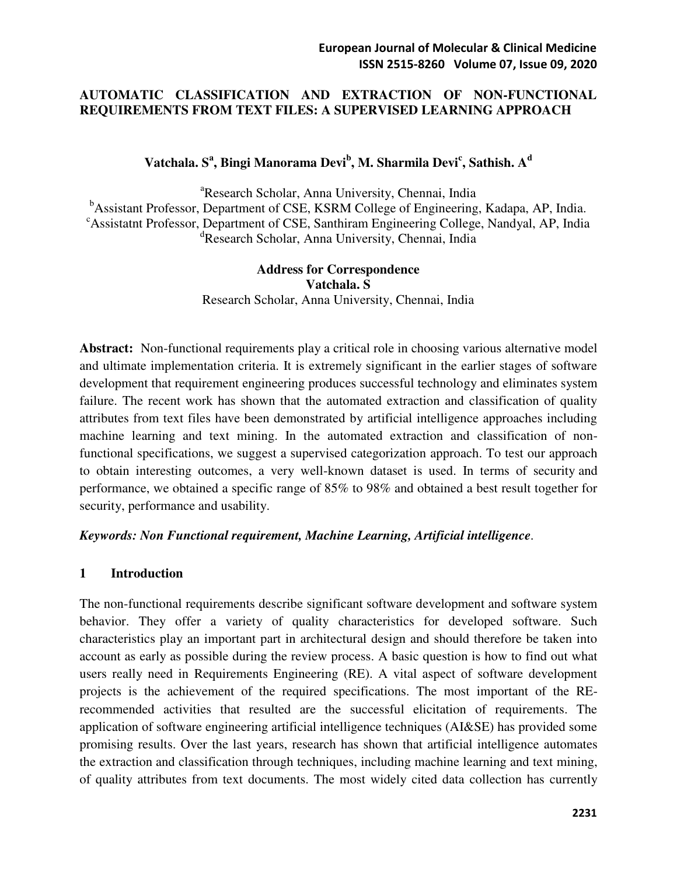#### **AUTOMATIC CLASSIFICATION AND EXTRACTION OF NON-FUNCTIONAL REQUIREMENTS FROM TEXT FILES: A SUPERVISED LEARNING APPROACH**

# **Vatchala. S<sup>a</sup> , Bingi Manorama Devi<sup>b</sup> , M. Sharmila Devi<sup>c</sup> , Sathish. A<sup>d</sup>**

<sup>a</sup>Research Scholar, Anna University, Chennai, India <sup>b</sup>Assistant Professor, Department of CSE, KSRM College of Engineering, Kadapa, AP, India. <sup>c</sup>Assistatnt Professor, Department of CSE, Santhiram Engineering College, Nandyal, AP, India <sup>d</sup>Research Scholar, Anna University, Chennai, India

> **Address for Correspondence Vatchala. S**  Research Scholar, Anna University, Chennai, India

**Abstract:** Non-functional requirements play a critical role in choosing various alternative model and ultimate implementation criteria. It is extremely significant in the earlier stages of software development that requirement engineering produces successful technology and eliminates system failure. The recent work has shown that the automated extraction and classification of quality attributes from text files have been demonstrated by artificial intelligence approaches including machine learning and text mining. In the automated extraction and classification of nonfunctional specifications, we suggest a supervised categorization approach. To test our approach to obtain interesting outcomes, a very well-known dataset is used. In terms of security and performance, we obtained a specific range of 85% to 98% and obtained a best result together for security, performance and usability.

#### *Keywords: Non Functional requirement, Machine Learning, Artificial intelligence.*

#### **1 Introduction**

The non-functional requirements describe significant software development and software system behavior. They offer a variety of quality characteristics for developed software. Such characteristics play an important part in architectural design and should therefore be taken into account as early as possible during the review process. A basic question is how to find out what users really need in Requirements Engineering (RE). A vital aspect of software development projects is the achievement of the required specifications. The most important of the RErecommended activities that resulted are the successful elicitation of requirements. The application of software engineering artificial intelligence techniques (AI&SE) has provided some promising results. Over the last years, research has shown that artificial intelligence automates the extraction and classification through techniques, including machine learning and text mining, of quality attributes from text documents. The most widely cited data collection has currently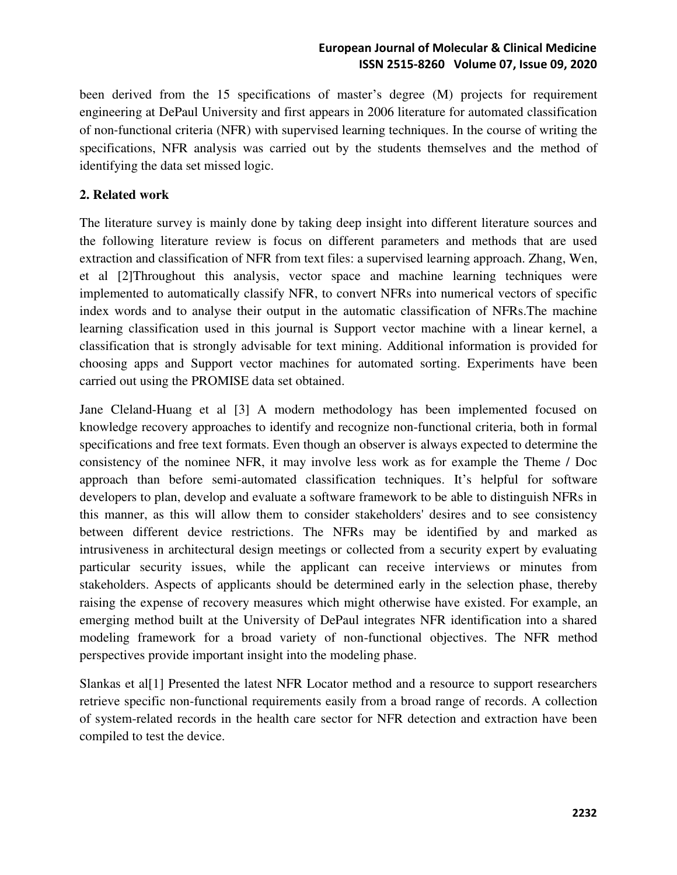been derived from the 15 specifications of master's degree (M) projects for requirement engineering at DePaul University and first appears in 2006 literature for automated classification of non‐functional criteria (NFR) with supervised learning techniques. In the course of writing the specifications, NFR analysis was carried out by the students themselves and the method of identifying the data set missed logic.

# **2. Related work**

The literature survey is mainly done by taking deep insight into different literature sources and the following literature review is focus on different parameters and methods that are used extraction and classification of NFR from text files: a supervised learning approach. Zhang, Wen, et al [2]Throughout this analysis, vector space and machine learning techniques were implemented to automatically classify NFR, to convert NFRs into numerical vectors of specific index words and to analyse their output in the automatic classification of NFRs.The machine learning classification used in this journal is Support vector machine with a linear kernel, a classification that is strongly advisable for text mining. Additional information is provided for choosing apps and Support vector machines for automated sorting. Experiments have been carried out using the PROMISE data set obtained.

Jane Cleland-Huang et al [3] A modern methodology has been implemented focused on knowledge recovery approaches to identify and recognize non-functional criteria, both in formal specifications and free text formats. Even though an observer is always expected to determine the consistency of the nominee NFR, it may involve less work as for example the Theme / Doc approach than before semi-automated classification techniques. It's helpful for software developers to plan, develop and evaluate a software framework to be able to distinguish NFRs in this manner, as this will allow them to consider stakeholders' desires and to see consistency between different device restrictions. The NFRs may be identified by and marked as intrusiveness in architectural design meetings or collected from a security expert by evaluating particular security issues, while the applicant can receive interviews or minutes from stakeholders. Aspects of applicants should be determined early in the selection phase, thereby raising the expense of recovery measures which might otherwise have existed. For example, an emerging method built at the University of DePaul integrates NFR identification into a shared modeling framework for a broad variety of non-functional objectives. The NFR method perspectives provide important insight into the modeling phase.

Slankas et al[1] Presented the latest NFR Locator method and a resource to support researchers retrieve specific non-functional requirements easily from a broad range of records. A collection of system-related records in the health care sector for NFR detection and extraction have been compiled to test the device.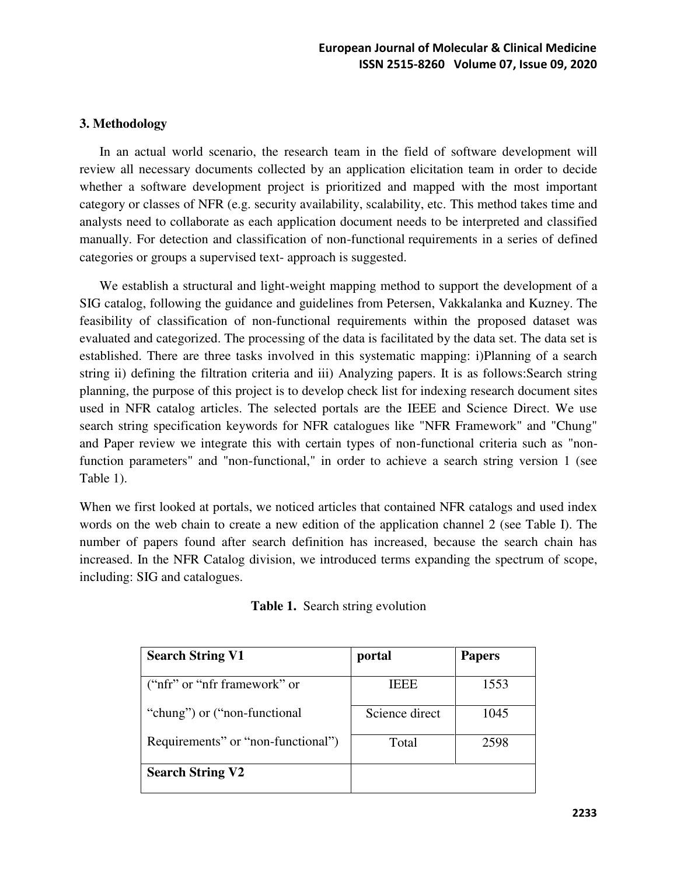#### **3. Methodology**

 In an actual world scenario, the research team in the field of software development will review all necessary documents collected by an application elicitation team in order to decide whether a software development project is prioritized and mapped with the most important category or classes of NFR (e.g. security availability, scalability, etc. This method takes time and analysts need to collaborate as each application document needs to be interpreted and classified manually. For detection and classification of non-functional requirements in a series of defined categories or groups a supervised text- approach is suggested.

 We establish a structural and light-weight mapping method to support the development of a SIG catalog, following the guidance and guidelines from Petersen, Vakkalanka and Kuzney. The feasibility of classification of non-functional requirements within the proposed dataset was evaluated and categorized. The processing of the data is facilitated by the data set. The data set is established. There are three tasks involved in this systematic mapping: i)Planning of a search string ii) defining the filtration criteria and iii) Analyzing papers. It is as follows:Search string planning, the purpose of this project is to develop check list for indexing research document sites used in NFR catalog articles. The selected portals are the IEEE and Science Direct. We use search string specification keywords for NFR catalogues like "NFR Framework" and "Chung" and Paper review we integrate this with certain types of non-functional criteria such as "nonfunction parameters" and "non-functional," in order to achieve a search string version 1 (see Table 1).

When we first looked at portals, we noticed articles that contained NFR catalogs and used index words on the web chain to create a new edition of the application channel 2 (see Table I). The number of papers found after search definition has increased, because the search chain has increased. In the NFR Catalog division, we introduced terms expanding the spectrum of scope, including: SIG and catalogues.

| <b>Search String V1</b>            | portal         | <b>Papers</b> |
|------------------------------------|----------------|---------------|
| ("nfr" or "nfr framework" or       | <b>IEEE</b>    | 1553          |
| "chung" or ("non-functional")      | Science direct | 1045          |
| Requirements" or "non-functional") | Total          | 2598          |
| <b>Search String V2</b>            |                |               |

|  |  | Table 1. Search string evolution |
|--|--|----------------------------------|
|--|--|----------------------------------|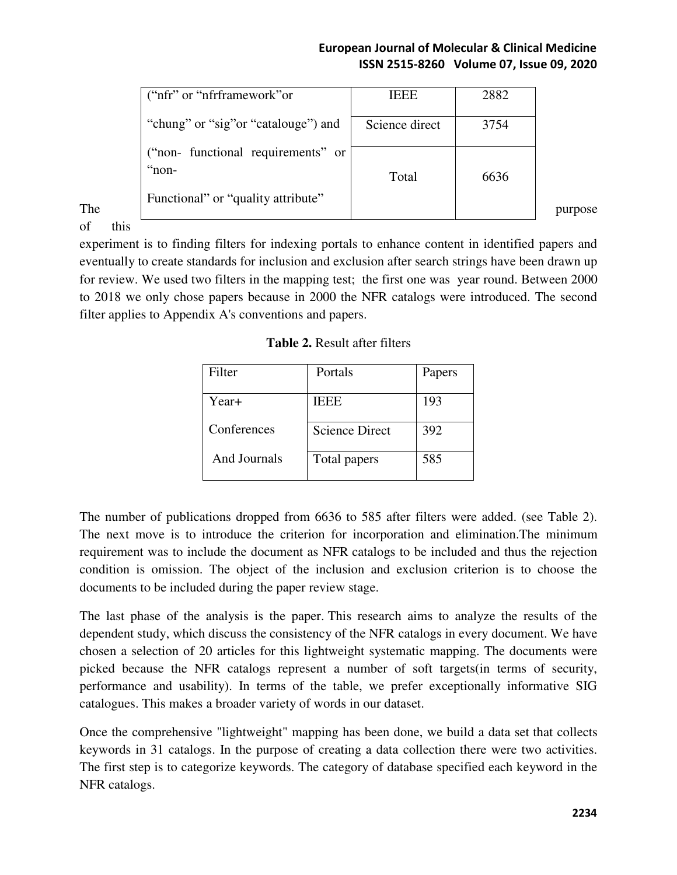|     | ("nfr" or "nfrframework" or                                                          | <b>IEEE</b>    | 2882 |         |
|-----|--------------------------------------------------------------------------------------|----------------|------|---------|
|     | "chung" or "sig" or "catalouge" and                                                  | Science direct | 3754 |         |
| The | ("non- functional requirements" or<br>" $non-$<br>Functional" or "quality attribute" | Total          | 6636 | purpose |

of this

experiment is to finding filters for indexing portals to enhance content in identified papers and eventually to create standards for inclusion and exclusion after search strings have been drawn up for review. We used two filters in the mapping test; the first one was year round. Between 2000 to 2018 we only chose papers because in 2000 the NFR catalogs were introduced. The second filter applies to Appendix A's conventions and papers.

**Table 2.** Result after filters

| Filter       | Portals               | Papers |
|--------------|-----------------------|--------|
| Year+        | <b>IEEE</b>           | 193    |
| Conferences  | <b>Science Direct</b> | 392    |
| And Journals | Total papers          | 585    |

The number of publications dropped from 6636 to 585 after filters were added. (see Table 2). The next move is to introduce the criterion for incorporation and elimination.The minimum requirement was to include the document as NFR catalogs to be included and thus the rejection condition is omission. The object of the inclusion and exclusion criterion is to choose the documents to be included during the paper review stage.

The last phase of the analysis is the paper. This research aims to analyze the results of the dependent study, which discuss the consistency of the NFR catalogs in every document. We have chosen a selection of 20 articles for this lightweight systematic mapping. The documents were picked because the NFR catalogs represent a number of soft targets(in terms of security, performance and usability). In terms of the table, we prefer exceptionally informative SIG catalogues. This makes a broader variety of words in our dataset.

Once the comprehensive "lightweight" mapping has been done, we build a data set that collects keywords in 31 catalogs. In the purpose of creating a data collection there were two activities. The first step is to categorize keywords. The category of database specified each keyword in the NFR catalogs.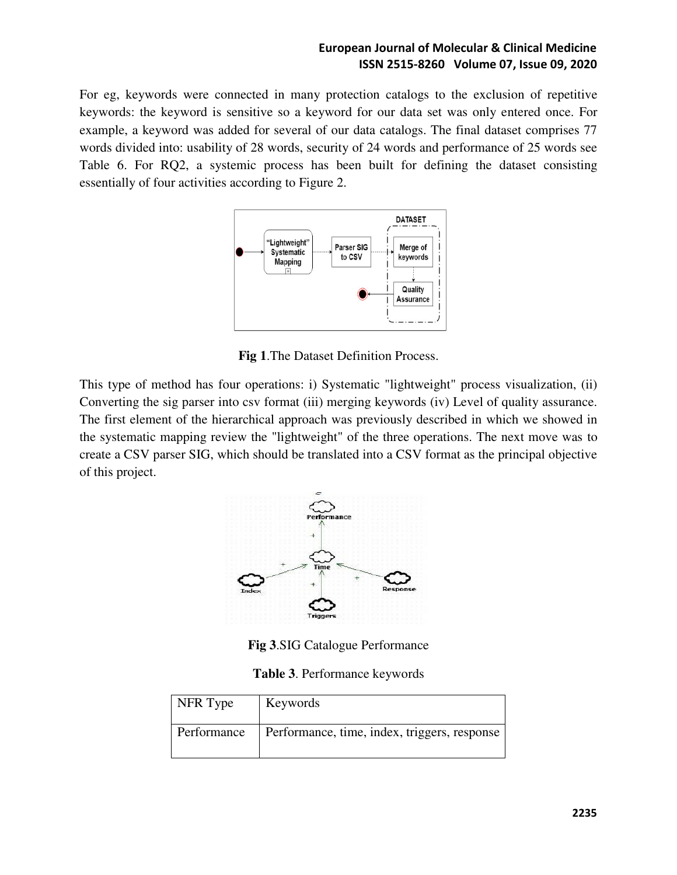For eg, keywords were connected in many protection catalogs to the exclusion of repetitive keywords: the keyword is sensitive so a keyword for our data set was only entered once. For example, a keyword was added for several of our data catalogs. The final dataset comprises 77 words divided into: usability of 28 words, security of 24 words and performance of 25 words see Table 6. For RQ2, a systemic process has been built for defining the dataset consisting essentially of four activities according to Figure 2.



**Fig 1**.The Dataset Definition Process.

This type of method has four operations: i) Systematic "lightweight" process visualization, (ii) Converting the sig parser into csv format (iii) merging keywords (iv) Level of quality assurance. The first element of the hierarchical approach was previously described in which we showed in the systematic mapping review the "lightweight" of the three operations. The next move was to create a CSV parser SIG, which should be translated into a CSV format as the principal objective of this project.



**Fig 3**.SIG Catalogue Performance

**Table 3**. Performance keywords

| NFR Type    | Keywords                                     |
|-------------|----------------------------------------------|
| Performance | Performance, time, index, triggers, response |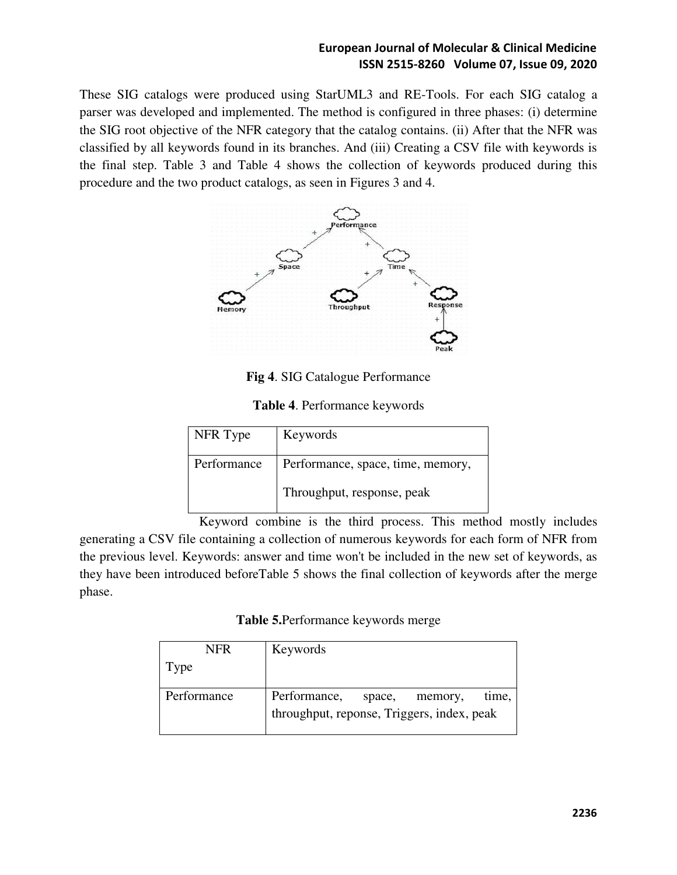These SIG catalogs were produced using StarUML3 and RE-Tools. For each SIG catalog a parser was developed and implemented. The method is configured in three phases: (i) determine the SIG root objective of the NFR category that the catalog contains. (ii) After that the NFR was classified by all keywords found in its branches. And (iii) Creating a CSV file with keywords is the final step. Table 3 and Table 4 shows the collection of keywords produced during this procedure and the two product catalogs, as seen in Figures 3 and 4.



**Fig 4**. SIG Catalogue Performance

| NFR Type    | Keywords                          |
|-------------|-----------------------------------|
| Performance | Performance, space, time, memory, |
|             | Throughput, response, peak        |

 Keyword combine is the third process. This method mostly includes generating a CSV file containing a collection of numerous keywords for each form of NFR from the previous level. Keywords: answer and time won't be included in the new set of keywords, as they have been introduced beforeTable 5 shows the final collection of keywords after the merge phase.

**Table 5.**Performance keywords merge

| <b>NFR</b>  | Keywords                                   |        |         |       |
|-------------|--------------------------------------------|--------|---------|-------|
| Type        |                                            |        |         |       |
|             |                                            |        |         |       |
| Performance | Performance,                               | space, | memory, | time, |
|             | throughput, reponse, Triggers, index, peak |        |         |       |
|             |                                            |        |         |       |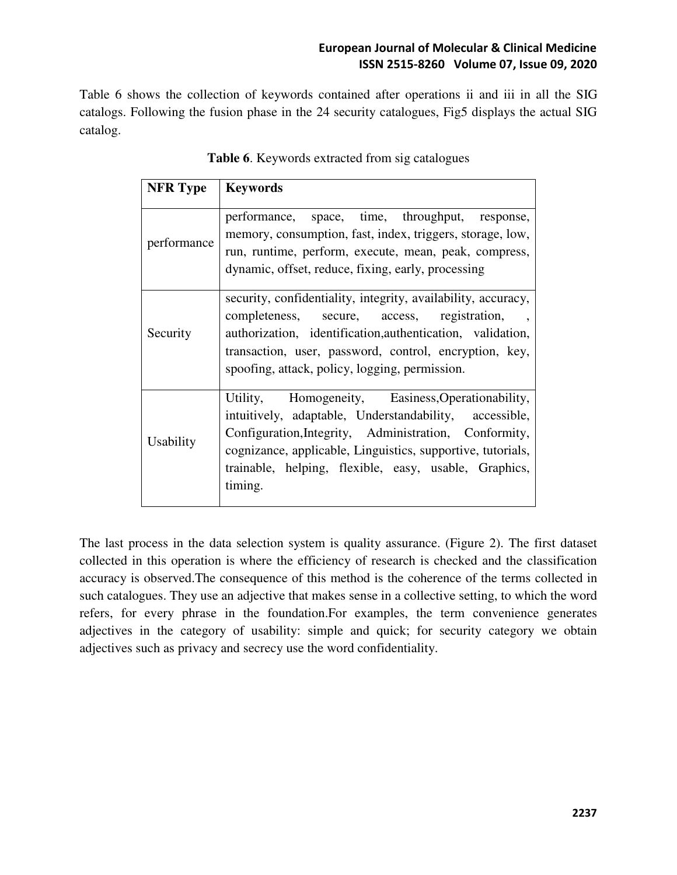Table 6 shows the collection of keywords contained after operations ii and iii in all the SIG catalogs. Following the fusion phase in the 24 security catalogues, Fig5 displays the actual SIG catalog.

| <b>NFR</b> Type  | <b>Keywords</b>                                                                                                                                                                                                                                                                                         |
|------------------|---------------------------------------------------------------------------------------------------------------------------------------------------------------------------------------------------------------------------------------------------------------------------------------------------------|
| performance      | performance, space, time, throughput, response,<br>memory, consumption, fast, index, triggers, storage, low,<br>run, runtime, perform, execute, mean, peak, compress,<br>dynamic, offset, reduce, fixing, early, processing                                                                             |
| Security         | security, confidentiality, integrity, availability, accuracy,<br>completeness, secure, access, registration, ,<br>authorization, identification, authentication, validation,<br>transaction, user, password, control, encryption, key,<br>spoofing, attack, policy, logging, permission.                |
| <b>Usability</b> | Utility, Homogeneity, Easiness, Operationability,<br>intuitively, adaptable, Understandability, accessible,<br>Configuration, Integrity, Administration, Conformity,<br>cognizance, applicable, Linguistics, supportive, tutorials,<br>trainable, helping, flexible, easy, usable, Graphics,<br>timing. |

**Table 6**. Keywords extracted from sig catalogues

The last process in the data selection system is quality assurance. (Figure 2). The first dataset collected in this operation is where the efficiency of research is checked and the classification accuracy is observed.The consequence of this method is the coherence of the terms collected in such catalogues. They use an adjective that makes sense in a collective setting, to which the word refers, for every phrase in the foundation.For examples, the term convenience generates adjectives in the category of usability: simple and quick; for security category we obtain adjectives such as privacy and secrecy use the word confidentiality.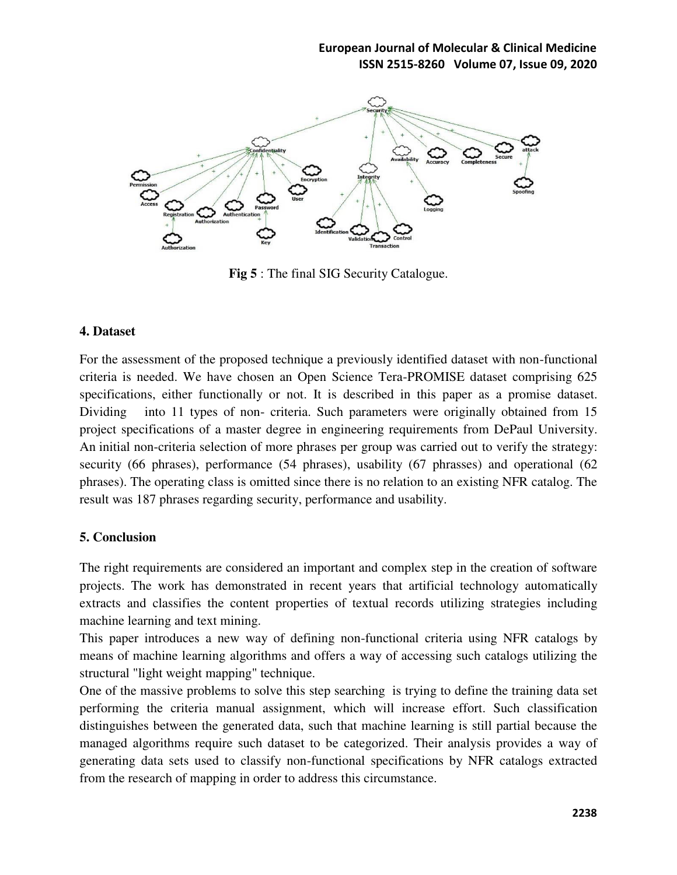

**Fig 5** : The final SIG Security Catalogue.

#### **4. Dataset**

For the assessment of the proposed technique a previously identified dataset with non-functional criteria is needed. We have chosen an Open Science Tera-PROMISE dataset comprising 625 specifications, either functionally or not. It is described in this paper as a promise dataset. Dividing into 11 types of non- criteria. Such parameters were originally obtained from 15 project specifications of a master degree in engineering requirements from DePaul University. An initial non-criteria selection of more phrases per group was carried out to verify the strategy: security (66 phrases), performance (54 phrases), usability (67 phrasses) and operational (62 phrases). The operating class is omitted since there is no relation to an existing NFR catalog. The result was 187 phrases regarding security, performance and usability.

# **5. Conclusion**

The right requirements are considered an important and complex step in the creation of software projects. The work has demonstrated in recent years that artificial technology automatically extracts and classifies the content properties of textual records utilizing strategies including machine learning and text mining.

This paper introduces a new way of defining non-functional criteria using NFR catalogs by means of machine learning algorithms and offers a way of accessing such catalogs utilizing the structural "light weight mapping" technique.

One of the massive problems to solve this step searching is trying to define the training data set performing the criteria manual assignment, which will increase effort. Such classification distinguishes between the generated data, such that machine learning is still partial because the managed algorithms require such dataset to be categorized. Their analysis provides a way of generating data sets used to classify non-functional specifications by NFR catalogs extracted from the research of mapping in order to address this circumstance.